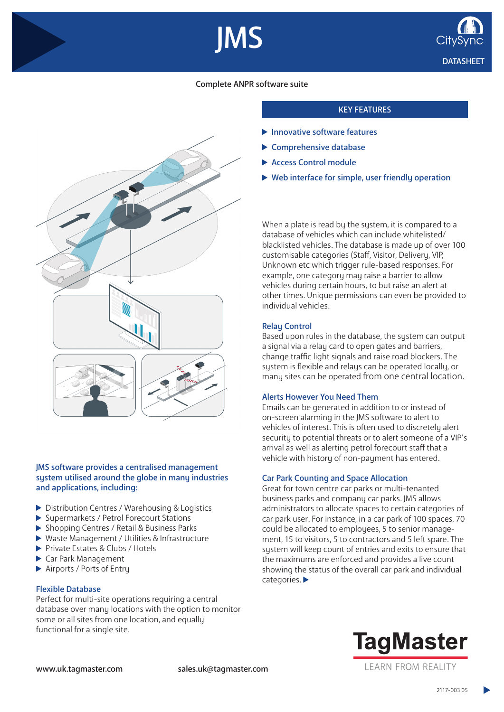



# Complete ANPR software suite

IMS



### JMS software provides a centralised management system utilised around the globe in many industries and applications, including:

- ▶ Distribution Centres / Warehousing & Logistics
- Supermarkets / Petrol Forecourt Stations
- ▶ Shopping Centres / Retail & Business Parks
- ▶ Waste Management / Utilities & Infrastructure
- Private Estates & Clubs / Hotels
- Car Park Management
- Airports / Ports of Entry

## Flexible Database

Perfect for multi-site operations requiring a central database over many locations with the option to monitor some or all sites from one location, and equally functional for a single site.

### KEY FEATURES

- $\blacktriangleright$  Innovative software features
- $\blacktriangleright$  Comprehensive database
- Access Control module
- ▶ Web interface for simple, user friendly operation

When a plate is read by the system, it is compared to a database of vehicles which can include whitelisted/ blacklisted vehicles. The database is made up of over 100 customisable categories (Staff, Visitor, Delivery, VIP, Unknown etc which trigger rule-based responses. For example, one category may raise a barrier to allow vehicles during certain hours, to but raise an alert at other times. Unique permissions can even be provided to individual vehicles.

#### Relay Control

Based upon rules in the database, the system can output a signal via a relay card to open gates and barriers, change traffic light signals and raise road blockers. The system is flexible and relays can be operated locally, or many sites can be operated from one central location.

#### Alerts However You Need Them

Emails can be generated in addition to or instead of on-screen alarming in the JMS software to alert to vehicles of interest. This is often used to discretely alert security to potential threats or to alert someone of a VIP's arrival as well as alerting petrol forecourt staff that a vehicle with history of non-payment has entered.

#### Car Park Counting and Space Allocation

Great for town centre car parks or multi-tenanted business parks and company car parks. JMS allows administrators to allocate spaces to certain categories of car park user. For instance, in a car park of 100 spaces, 70 could be allocated to employees, 5 to senior management, 15 to visitors, 5 to contractors and 5 left spare. The system will keep count of entries and exits to ensure that the maximums are enforced and provides a live count showing the status of the overall car park and individual categories.